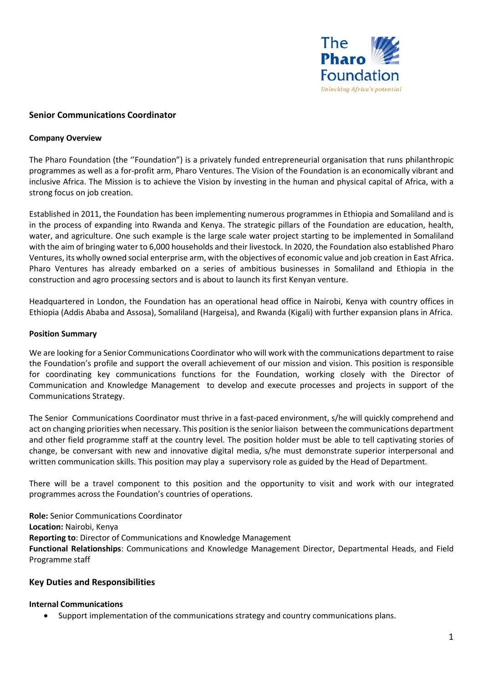

# **Senior Communications Coordinator**

#### **Company Overview**

The Pharo Foundation (the ''Foundation") is a privately funded entrepreneurial organisation that runs philanthropic programmes as well as a for-profit arm, Pharo Ventures. The Vision of the Foundation is an economically vibrant and inclusive Africa. The Mission is to achieve the Vision by investing in the human and physical capital of Africa, with a strong focus on job creation.

Established in 2011, the Foundation has been implementing numerous programmes in Ethiopia and Somaliland and is in the process of expanding into Rwanda and Kenya. The strategic pillars of the Foundation are education, health, water, and agriculture. One such example is the large scale water project starting to be implemented in Somaliland with the aim of bringing water to 6,000 households and their livestock. In 2020, the Foundation also established Pharo Ventures, its wholly owned social enterprise arm, with the objectives of economic value and job creation in East Africa. Pharo Ventures has already embarked on a series of ambitious businesses in Somaliland and Ethiopia in the construction and agro processing sectors and is about to launch its first Kenyan venture.

Headquartered in London, the Foundation has an operational head office in Nairobi, Kenya with country offices in Ethiopia (Addis Ababa and Assosa), Somaliland (Hargeisa), and Rwanda (Kigali) with further expansion plans in Africa.

#### **Position Summary**

We are looking for a Senior Communications Coordinator who will work with the communications department to raise the Foundation's profile and support the overall achievement of our mission and vision. This position is responsible for coordinating key communications functions for the Foundation, working closely with the Director of Communication and Knowledge Management to develop and execute processes and projects in support of the Communications Strategy.

The Senior Communications Coordinator must thrive in a fast-paced environment, s/he will quickly comprehend and act on changing priorities when necessary. This position is the senior liaison between the communications department and other field programme staff at the country level. The position holder must be able to tell captivating stories of change, be conversant with new and innovative digital media, s/he must demonstrate superior interpersonal and written communication skills. This position may play a supervisory role as guided by the Head of Department.

There will be a travel component to this position and the opportunity to visit and work with our integrated programmes across the Foundation's countries of operations.

**Role:** Senior Communications Coordinator **Location:** Nairobi, Kenya **Reporting to**: Director of Communications and Knowledge Management **Functional Relationships**: Communications and Knowledge Management Director, Departmental Heads, and Field Programme staff

## **Key Duties and Responsibilities**

#### **Internal Communications**

• Support implementation of the communications strategy and country communications plans.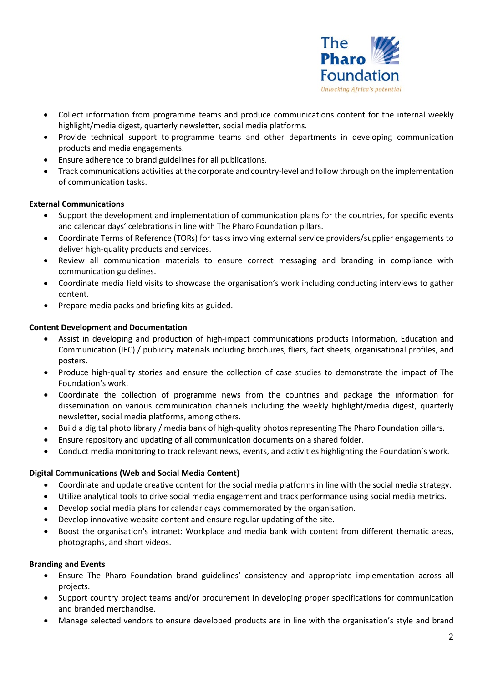

- Collect information from programme teams and produce communications content for the internal weekly highlight/media digest, quarterly newsletter, social media platforms.
- Provide technical support to programme teams and other departments in developing communication products and media engagements.
- Ensure adherence to brand guidelines for all publications.
- Track communications activities at the corporate and country-level and follow through on the implementation of communication tasks.

# **External Communications**

- Support the development and implementation of communication plans for the countries, for specific events and calendar days' celebrations in line with The Pharo Foundation pillars.
- Coordinate Terms of Reference (TORs) for tasks involving external service providers/supplier engagements to deliver high-quality products and services.
- Review all communication materials to ensure correct messaging and branding in compliance with communication guidelines.
- Coordinate media field visits to showcase the organisation's work including conducting interviews to gather content.
- Prepare media packs and briefing kits as guided.

# **Content Development and Documentation**

- Assist in developing and production of high-impact communications products Information, Education and Communication (IEC) / publicity materials including brochures, fliers, fact sheets, organisational profiles, and posters.
- Produce high-quality stories and ensure the collection of case studies to demonstrate the impact of The Foundation's work.
- Coordinate the collection of programme news from the countries and package the information for dissemination on various communication channels including the weekly highlight/media digest, quarterly newsletter, social media platforms, among others.
- Build a digital photo library / media bank of high-quality photos representing The Pharo Foundation pillars.
- Ensure repository and updating of all communication documents on a shared folder.
- Conduct media monitoring to track relevant news, events, and activities highlighting the Foundation's work.

## **Digital Communications (Web and Social Media Content)**

- Coordinate and update creative content for the social media platforms in line with the social media strategy.
- Utilize analytical tools to drive social media engagement and track performance using social media metrics.
- Develop social media plans for calendar days commemorated by the organisation.
- Develop innovative website content and ensure regular updating of the site.
- Boost the organisation's intranet: Workplace and media bank with content from different thematic areas, photographs, and short videos.

## **Branding and Events**

- Ensure The Pharo Foundation brand guidelines' consistency and appropriate implementation across all projects.
- Support country project teams and/or procurement in developing proper specifications for communication and branded merchandise.
- Manage selected vendors to ensure developed products are in line with the organisation's style and brand